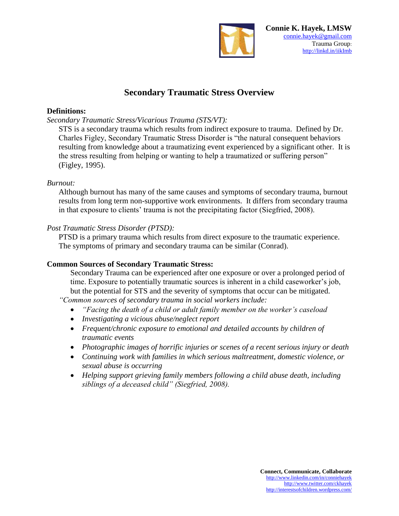

# **Secondary Traumatic Stress Overview**

## **Definitions:**

*Secondary Traumatic Stress/Vicarious Trauma (STS/VT):*

STS is a secondary trauma which results from indirect exposure to trauma. Defined by Dr. Charles Figley, Secondary Traumatic Stress Disorder is "the natural consequent behaviors resulting from knowledge about a traumatizing event experienced by a significant other. It is the stress resulting from helping or wanting to help a traumatized or suffering person" (Figley, 1995).

## *Burnout:*

Although burnout has many of the same causes and symptoms of secondary trauma, burnout results from long term non-supportive work environments. It differs from secondary trauma in that exposure to clients' trauma is not the precipitating factor (Siegfried, 2008).

# *Post Traumatic Stress Disorder (PTSD):*

PTSD is a primary trauma which results from direct exposure to the traumatic experience. The symptoms of primary and secondary trauma can be similar (Conrad).

# **Common Sources of Secondary Traumatic Stress:**

Secondary Trauma can be experienced after one exposure or over a prolonged period of time. Exposure to potentially traumatic sources is inherent in a child caseworker's job, but the potential for STS and the severity of symptoms that occur can be mitigated.

*"Common sources of secondary trauma in social workers include:*

- *"Facing the death of a child or adult family member on the worker's caseload*
- *Investigating a vicious abuse/neglect report*
- *Frequent/chronic exposure to emotional and detailed accounts by children of traumatic events*
- *Photographic images of horrific injuries or scenes of a recent serious injury or death*
- *Continuing work with families in which serious maltreatment, domestic violence, or sexual abuse is occurring*
- *Helping support grieving family members following a child abuse death, including siblings of a deceased child" (Siegfried, 2008).*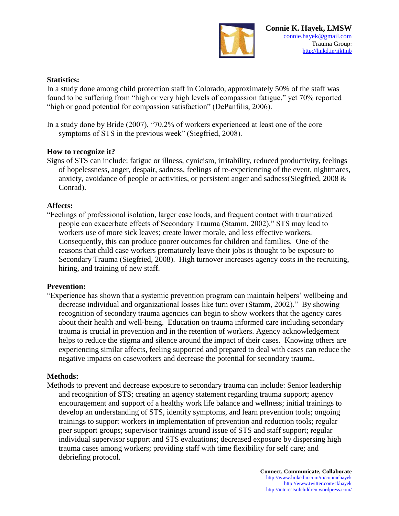

#### **Statistics:**

In a study done among child protection staff in Colorado, approximately 50% of the staff was found to be suffering from "high or very high levels of compassion fatigue," yet 70% reported "high or good potential for compassion satisfaction" (DePanfilis, 2006).

In a study done by Bride (2007), "70.2% of workers experienced at least one of the core symptoms of STS in the previous week" (Siegfried, 2008).

#### **How to recognize it?**

Signs of STS can include: fatigue or illness, cynicism, irritability, reduced productivity, feelings of hopelessness, anger, despair, sadness, feelings of re-experiencing of the event, nightmares, anxiety, avoidance of people or activities, or persistent anger and sadness(Siegfried, 2008 & Conrad).

#### **Affects:**

"Feelings of professional isolation, larger case loads, and frequent contact with traumatized people can exacerbate effects of Secondary Trauma (Stamm, 2002)." STS may lead to workers use of more sick leaves; create lower morale, and less effective workers. Consequently, this can produce poorer outcomes for children and families. One of the reasons that child case workers prematurely leave their jobs is thought to be exposure to Secondary Trauma (Siegfried, 2008). High turnover increases agency costs in the recruiting, hiring, and training of new staff.

#### **Prevention:**

"Experience has shown that a systemic prevention program can maintain helpers' wellbeing and decrease individual and organizational losses like turn over (Stamm, 2002)." By showing recognition of secondary trauma agencies can begin to show workers that the agency cares about their health and well-being. Education on trauma informed care including secondary trauma is crucial in prevention and in the retention of workers. Agency acknowledgement helps to reduce the stigma and silence around the impact of their cases. Knowing others are experiencing similar affects, feeling supported and prepared to deal with cases can reduce the negative impacts on caseworkers and decrease the potential for secondary trauma.

#### **Methods:**

Methods to prevent and decrease exposure to secondary trauma can include: Senior leadership and recognition of STS; creating an agency statement regarding trauma support; agency encouragement and support of a healthy work life balance and wellness; initial trainings to develop an understanding of STS, identify symptoms, and learn prevention tools; ongoing trainings to support workers in implementation of prevention and reduction tools; regular peer support groups; supervisor trainings around issue of STS and staff support; regular individual supervisor support and STS evaluations; decreased exposure by dispersing high trauma cases among workers; providing staff with time flexibility for self care; and debriefing protocol.